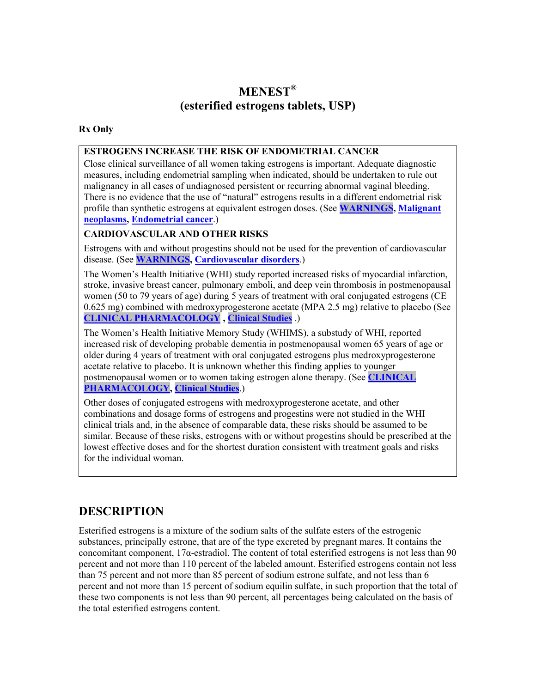# **MENEST® (esterified estrogens tablets, USP)**

#### <span id="page-0-0"></span>**Rx Only**

### **ESTROGENS INCREASE THE RISK OF ENDOMETRIAL CANCER**

Close clinical surveillance of all women taking estrogens is important. Adequate diagnostic measures, including endometrial sampling when indicated, should be undertaken to rule out malignancy in all cases of undiagnosed persistent or recurring abnormal vaginal bleeding. There is no evidence that the use of "natural" estrogens results in a different endometrial risk profile than synthetic estrogens at equivalent estrogen doses. (See **WARNINGS, Malignant neoplasms, Endometrial cancer**.)

### **CARDIOVASCULAR AND OTHER RISKS**

Estrogens with and without progestins should not be used for the prevention of cardiovascular disease. (See **WARNINGS, Cardiovascular disorders**.)

The Women's Health Initiative (WHI) study reported increased risks of myocardial infarction, stroke, invasive breast cancer, pulmonary emboli, and deep vein thrombosis in postmenopausal women (50 to 79 years of age) during 5 years of treatment with oral conjugated estrogens (CE 0.625 mg) combined with medroxyprogesterone acetate (MPA 2.5 mg) relative to placebo (See **CLINICAL PHARMACOLOGY , Clinical Studies** .)

The Women's Health Initiative Memory Study (WHIMS), a substudy of WHI, reported increased risk of developing probable dementia in postmenopausal women 65 years of age or older during 4 years of treatment with oral conjugated estrogens plus medroxyprogesterone acetate relative to placebo. It is unknown whether this finding applies to younger postmenopausal women or to women taking estrogen alone therapy. (See **CLINICAL PHARMACOLOGY, Clinical Studies**.)

Other doses of conjugated estrogens with medroxyprogesterone acetate, and other combinations and dosage forms of estrogens and progestins were not studied in the WHI clinical trials and, in the absence of comparable data, these risks should be assumed to be similar. Because of these risks, estrogens with or without progestins should be prescribed at the lowest effective doses and for the shortest duration consistent with treatment goals and risks for the individual woman.

# **DESCRIPTION**

Esterified estrogens is a mixture of the sodium salts of the sulfate esters of the estrogenic substances, principally estrone, that are of the type excreted by pregnant mares. It contains the concomitant component, 17α-estradiol. The content of total esterified estrogens is not less than 90 percent and not more than 110 percent of the labeled amount. Esterified estrogens contain not less than 75 percent and not more than 85 percent of sodium estrone sulfate, and not less than 6 percent and not more than 15 percent of sodium equilin sulfate, in such proportion that the total of these two components is not less than 90 percent, all percentages being calculated on the basis of the total esterified estrogens content.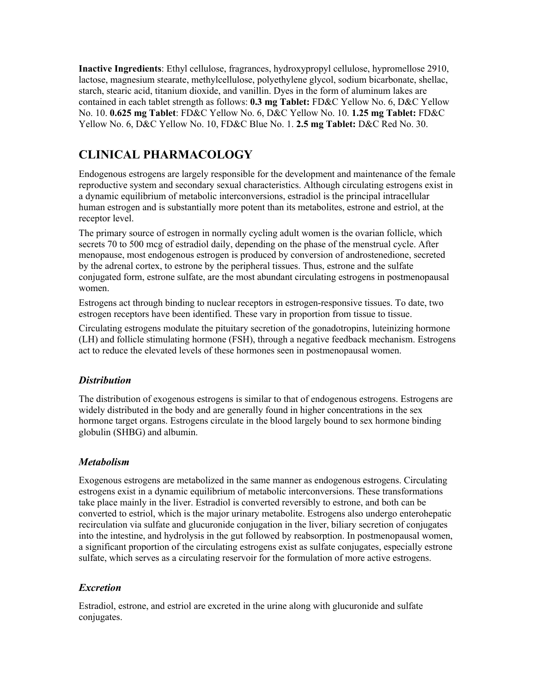**Inactive Ingredients**: Ethyl cellulose, fragrances, hydroxypropyl cellulose, hypromellose 2910, lactose, magnesium stearate, methylcellulose, polyethylene glycol, sodium bicarbonate, shellac, starch, stearic acid, titanium dioxide, and vanillin. Dyes in the form of aluminum lakes are contained in each tablet strength as follows: **0.3 mg Tablet:** FD&C Yellow No. 6, D&C Yellow No. 10. **0.625 mg Tablet**: FD&C Yellow No. 6, D&C Yellow No. 10. **1.25 mg Tablet:** FD&C Yellow No. 6, D&C Yellow No. 10, FD&C Blue No. 1. **2.5 mg Tablet:** D&C Red No. 30.

# <span id="page-1-0"></span>**CLINICAL PHARMACOLOGY**

Endogenous estrogens are largely responsible for the development and maintenance of the female reproductive system and secondary sexual characteristics. Although circulating estrogens exist in a dynamic equilibrium of metabolic interconversions, estradiol is the principal intracellular human estrogen and is substantially more potent than its metabolites, estrone and estriol, at the receptor level.

The primary source of estrogen in normally cycling adult women is the ovarian follicle, which secrets 70 to 500 mcg of estradiol daily, depending on the phase of the menstrual cycle. After menopause, most endogenous estrogen is produced by conversion of androstenedione, secreted by the adrenal cortex, to estrone by the peripheral tissues. Thus, estrone and the sulfate conjugated form, estrone sulfate, are the most abundant circulating estrogens in postmenopausal women.

Estrogens act through binding to nuclear receptors in estrogen-responsive tissues. To date, two estrogen receptors have been identified. These vary in proportion from tissue to tissue.

Circulating estrogens modulate the pituitary secretion of the gonadotropins, luteinizing hormone (LH) and follicle stimulating hormone (FSH), through a negative feedback mechanism. Estrogens act to reduce the elevated levels of these hormones seen in postmenopausal women.

### *Distribution*

The distribution of exogenous estrogens is similar to that of endogenous estrogens. Estrogens are widely distributed in the body and are generally found in higher concentrations in the sex hormone target organs. Estrogens circulate in the blood largely bound to sex hormone binding globulin (SHBG) and albumin.

### *Metabolism*

Exogenous estrogens are metabolized in the same manner as endogenous estrogens. Circulating estrogens exist in a dynamic equilibrium of metabolic interconversions. These transformations take place mainly in the liver. Estradiol is converted reversibly to estrone, and both can be converted to estriol, which is the major urinary metabolite. Estrogens also undergo enterohepatic recirculation via sulfate and glucuronide conjugation in the liver, biliary secretion of conjugates into the intestine, and hydrolysis in the gut followed by reabsorption. In postmenopausal women, a significant proportion of the circulating estrogens exist as sulfate conjugates, especially estrone sulfate, which serves as a circulating reservoir for the formulation of more active estrogens.

### *Excretion*

Estradiol, estrone, and estriol are excreted in the urine along with glucuronide and sulfate conjugates.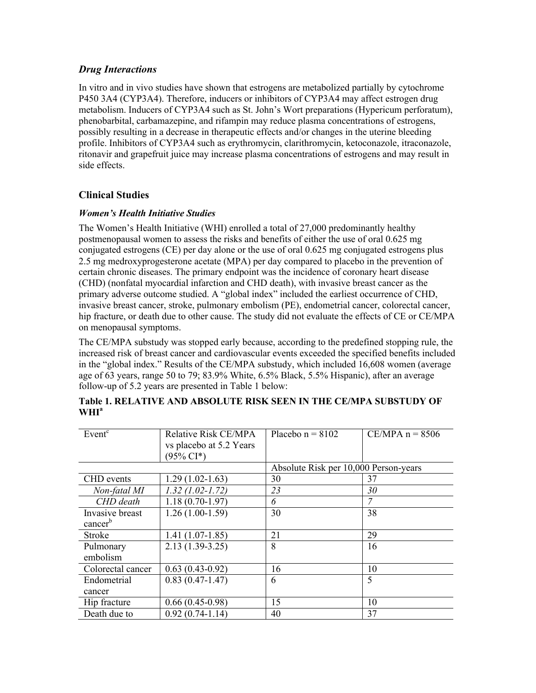### *Drug Interactions*

In vitro and in vivo studies have shown that estrogens are metabolized partially by cytochrome P450 3A4 (CYP3A4). Therefore, inducers or inhibitors of CYP3A4 may affect estrogen drug metabolism. Inducers of CYP3A4 such as St. John's Wort preparations (Hypericum perforatum), phenobarbital, carbamazepine, and rifampin may reduce plasma concentrations of estrogens, possibly resulting in a decrease in therapeutic effects and/or changes in the uterine bleeding profile. Inhibitors of CYP3A4 such as erythromycin, clarithromycin, ketoconazole, itraconazole, ritonavir and grapefruit juice may increase plasma concentrations of estrogens and may result in side effects.

### <span id="page-2-0"></span>**Clinical Studies**

### *Women's Health Initiative Studies*

The Women's Health Initiative (WHI) enrolled a total of 27,000 predominantly healthy postmenopausal women to assess the risks and benefits of either the use of oral 0.625 mg conjugated estrogens (CE) per day alone or the use of oral 0.625 mg conjugated estrogens plus 2.5 mg medroxyprogesterone acetate (MPA) per day compared to placebo in the prevention of certain chronic diseases. The primary endpoint was the incidence of coronary heart disease (CHD) (nonfatal myocardial infarction and CHD death), with invasive breast cancer as the primary adverse outcome studied. A "global index" included the earliest occurrence of CHD, invasive breast cancer, stroke, pulmonary embolism (PE), endometrial cancer, colorectal cancer, hip fracture, or death due to other cause. The study did not evaluate the effects of CE or CE/MPA on menopausal symptoms.

The CE/MPA substudy was stopped early because, according to the predefined stopping rule, the increased risk of breast cancer and cardiovascular events exceeded the specified benefits included in the "global index." Results of the CE/MPA substudy, which included 16,608 women (average age of 63 years, range 50 to 79; 83.9% White, 6.5% Black, 5.5% Hispanic), after an average follow-up of 5.2 years are presented in Table 1 below:

| Event <sup>c</sup>  | <b>Relative Risk CE/MPA</b> | Placebo $n = 8102$                    | $CE/MPA$ n = 8506 |
|---------------------|-----------------------------|---------------------------------------|-------------------|
|                     | vs placebo at 5.2 Years     |                                       |                   |
|                     | (95% CI*)                   |                                       |                   |
|                     |                             | Absolute Risk per 10,000 Person-years |                   |
| CHD events          | $1.29(1.02-1.63)$           | 30                                    | 37                |
| Non-fatal MI        | $1.32$ (1.02-1.72)          | 23                                    | 30                |
| CHD death           | $1.18(0.70-1.97)$           | 6                                     | 7                 |
| Invasive breast     | $1.26(1.00-1.59)$           | 30                                    | 38                |
| cancer <sup>b</sup> |                             |                                       |                   |
| <b>Stroke</b>       | $1.41(1.07-1.85)$           | 21                                    | 29                |
| Pulmonary           | $2.13(1.39-3.25)$           | 8                                     | 16                |
| embolism            |                             |                                       |                   |
| Colorectal cancer   | $0.63(0.43-0.92)$           | 16                                    | 10                |
| Endometrial         | $0.83(0.47-1.47)$           | 6                                     | 5                 |
| cancer              |                             |                                       |                   |
| Hip fracture        | $0.66(0.45-0.98)$           | 15                                    | 10                |
| Death due to        | $0.92(0.74-1.14)$           | 40                                    | 37                |

#### **Table 1. RELATIVE AND ABSOLUTE RISK SEEN IN THE CE/MPA SUBSTUDY OF WHI<sup>a</sup>**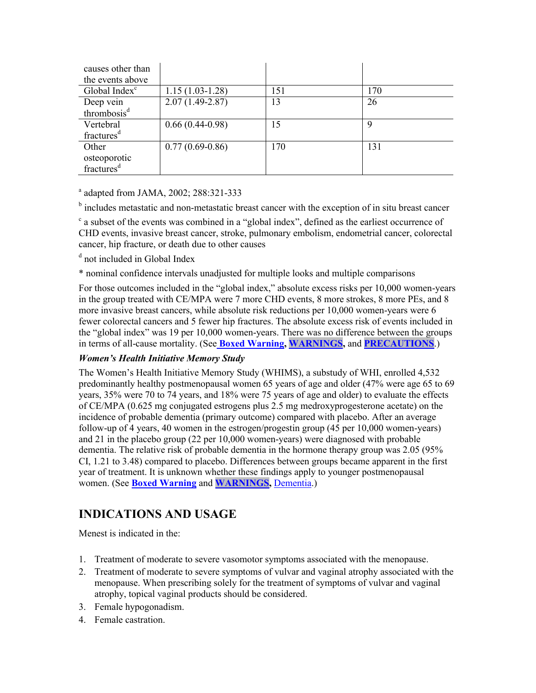| causes other than<br>the events above |                   |     |     |
|---------------------------------------|-------------------|-----|-----|
| Global Index <sup>c</sup>             | $1.15(1.03-1.28)$ | 151 | 170 |
| Deep vein                             | $2.07(1.49-2.87)$ | 13  | 26  |
| thrombosis <sup>d</sup>               |                   |     |     |
| Vertebral                             | $0.66(0.44-0.98)$ | 15  | 9   |
| fractures <sup>d</sup>                |                   |     |     |
| Other                                 | $0.77(0.69-0.86)$ | 170 | 131 |
| osteoporotic                          |                   |     |     |
| fractures <sup>d</sup>                |                   |     |     |

a adapted from JAMA, 2002; 288:321-333

<sup>b</sup> includes metastatic and non-metastatic breast cancer with the exception of in situ breast cancer

<sup>c</sup> a subset of the events was combined in a "global index", defined as the earliest occurrence of CHD events, invasive breast cancer, stroke, pulmonary embolism, endometrial cancer, colorectal cancer, hip fracture, or death due to other causes

<sup>d</sup> not included in Global Index

\* nominal confidence intervals unadjusted for multiple looks and multiple comparisons

For those outcomes included in the "global index," absolute excess risks per 10,000 women-years in the group treated with CE/MPA were 7 more CHD events, 8 more strokes, 8 more PEs, and 8 more invasive breast cancers, while absolute risk reductions per 10,000 women-years were 6 fewer colorectal cancers and 5 fewer hip fractures. The absolute excess risk of events included in the "global index" was 19 per 10,000 women-years. There was no difference between the groups in terms of all-cause mortality. (See **Boxed Warning, WARNINGS,** and **PRECAUTIONS**.)

### *Women's Health Initiative Memory Study*

The Women's Health Initiative Memory Study (WHIMS), a substudy of WHI, enrolled 4,532 predominantly healthy postmenopausal women 65 years of age and older (47% were age 65 to 69 years, 35% were 70 to 74 years, and 18% were 75 years of age and older) to evaluate the effects of CE/MPA (0.625 mg conjugated estrogens plus 2.5 mg medroxyprogesterone acetate) on the incidence of probable dementia (primary outcome) compared with placebo. After an average follow-up of 4 years, 40 women in the estrogen/progestin group (45 per 10,000 women-years) and 21 in the placebo group (22 per 10,000 women-years) were diagnosed with probable dementia. The relative risk of probable dementia in the hormone therapy group was 2.05 (95% CI, 1.21 to 3.48) compared to placebo. Differences between groups became apparent in the first year of treatment. It is unknown whether these findings apply to younger postmenopausal women. (See **Boxed Warning** and **WARNINGS,** [Dementia.](#page-6-0))

# <span id="page-3-0"></span>**INDICATIONS AND USAGE**

Menest is indicated in the:

- 1. Treatment of moderate to severe vasomotor symptoms associated with the menopause.
- 2. Treatment of moderate to severe symptoms of vulvar and vaginal atrophy associated with the menopause. When prescribing solely for the treatment of symptoms of vulvar and vaginal atrophy, topical vaginal products should be considered.
- 3. Female hypogonadism.
- 4. Female castration.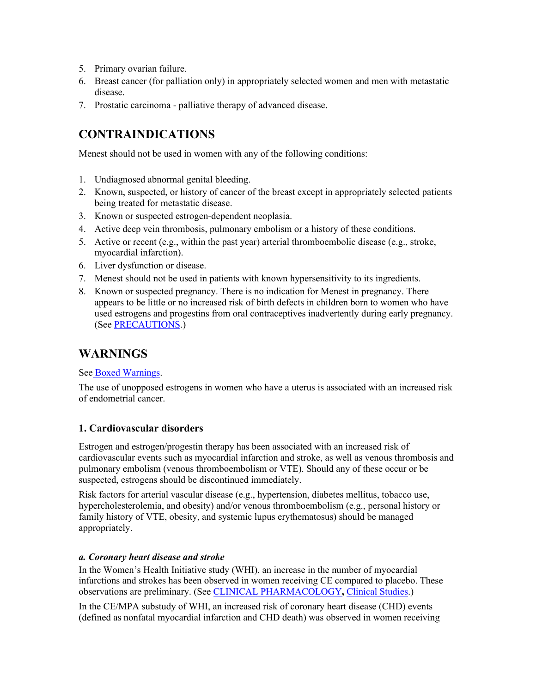- 5. Primary ovarian failure.
- 6. Breast cancer (for palliation only) in appropriately selected women and men with metastatic disease.
- 7. Prostatic carcinoma palliative therapy of advanced disease.

# <span id="page-4-1"></span>**CONTRAINDICATIONS**

Menest should not be used in women with any of the following conditions:

- 1. Undiagnosed abnormal genital bleeding.
- 2. Known, suspected, or history of cancer of the breast except in appropriately selected patients being treated for metastatic disease.
- 3. Known or suspected estrogen-dependent neoplasia.
- 4. Active deep vein thrombosis, pulmonary embolism or a history of these conditions.
- 5. Active or recent (e.g., within the past year) arterial thromboembolic disease (e.g., stroke, myocardial infarction).
- 6. Liver dysfunction or disease.
- 7. Menest should not be used in patients with known hypersensitivity to its ingredients.
- 8. Known or suspected pregnancy. There is no indication for Menest in pregnancy. There appears to be little or no increased risk of birth defects in children born to women who have used estrogens and progestins from oral contraceptives inadvertently during early pregnancy. (See [PRECAUTIONS.](#page-7-0))

# <span id="page-4-0"></span>**WARNINGS**

#### See [Boxed Warnings.](#page-0-0)

The use of unopposed estrogens in women who have a uterus is associated with an increased risk of endometrial cancer.

### **1. Cardiovascular disorders**

Estrogen and estrogen/progestin therapy has been associated with an increased risk of cardiovascular events such as myocardial infarction and stroke, as well as venous thrombosis and pulmonary embolism (venous thromboembolism or VTE). Should any of these occur or be suspected, estrogens should be discontinued immediately.

Risk factors for arterial vascular disease (e.g., hypertension, diabetes mellitus, tobacco use, hypercholesterolemia, and obesity) and/or venous thromboembolism (e.g., personal history or family history of VTE, obesity, and systemic lupus erythematosus) should be managed appropriately.

#### *a. Coronary heart disease and stroke*

In the Women's Health Initiative study (WHI), an increase in the number of myocardial infarctions and strokes has been observed in women receiving CE compared to placebo. These observations are preliminary. (See [CLINICAL PHARMACOLOGY](#page-1-0)**,** [Clinical Studies](#page-2-0).)

In the CE/MPA substudy of WHI, an increased risk of coronary heart disease (CHD) events (defined as nonfatal myocardial infarction and CHD death) was observed in women receiving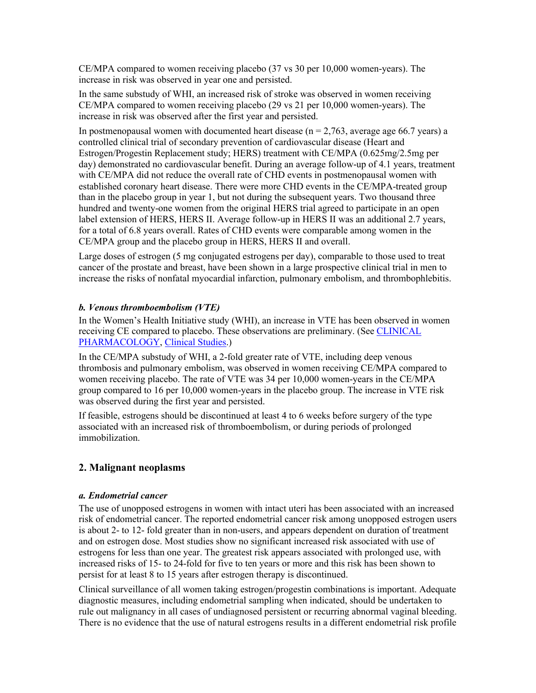CE/MPA compared to women receiving placebo (37 vs 30 per 10,000 women-years). The increase in risk was observed in year one and persisted.

In the same substudy of WHI, an increased risk of stroke was observed in women receiving CE/MPA compared to women receiving placebo (29 vs 21 per 10,000 women-years). The increase in risk was observed after the first year and persisted.

In postmenopausal women with documented heart disease ( $n = 2.763$ , average age 66.7 years) a controlled clinical trial of secondary prevention of cardiovascular disease (Heart and Estrogen/Progestin Replacement study; HERS) treatment with CE/MPA (0.625mg/2.5mg per day) demonstrated no cardiovascular benefit. During an average follow-up of 4.1 years, treatment with CE/MPA did not reduce the overall rate of CHD events in postmenopausal women with established coronary heart disease. There were more CHD events in the CE/MPA-treated group than in the placebo group in year 1, but not during the subsequent years. Two thousand three hundred and twenty-one women from the original HERS trial agreed to participate in an open label extension of HERS, HERS II. Average follow-up in HERS II was an additional 2.7 years, for a total of 6.8 years overall. Rates of CHD events were comparable among women in the CE/MPA group and the placebo group in HERS, HERS II and overall.

Large doses of estrogen (5 mg conjugated estrogens per day), comparable to those used to treat cancer of the prostate and breast, have been shown in a large prospective clinical trial in men to increase the risks of nonfatal myocardial infarction, pulmonary embolism, and thrombophlebitis.

#### *b. Venous thromboembolism (VTE)*

In the Women's Health Initiative study (WHI), an increase in VTE has been observed in women receiving CE compared to placebo. These observations are preliminary. (See CLINICAL [PHARMACOLOGY,](#page-1-0) [Clinical Studies](#page-2-0).)

In the CE/MPA substudy of WHI, a 2-fold greater rate of VTE, including deep venous thrombosis and pulmonary embolism, was observed in women receiving CE/MPA compared to women receiving placebo. The rate of VTE was 34 per 10,000 women-years in the CE/MPA group compared to 16 per 10,000 women-years in the placebo group. The increase in VTE risk was observed during the first year and persisted.

If feasible, estrogens should be discontinued at least 4 to 6 weeks before surgery of the type associated with an increased risk of thromboembolism, or during periods of prolonged immobilization.

### **2. Malignant neoplasms**

#### *a. Endometrial cancer*

The use of unopposed estrogens in women with intact uteri has been associated with an increased risk of endometrial cancer. The reported endometrial cancer risk among unopposed estrogen users is about 2- to 12- fold greater than in non-users, and appears dependent on duration of treatment and on estrogen dose. Most studies show no significant increased risk associated with use of estrogens for less than one year. The greatest risk appears associated with prolonged use, with increased risks of 15- to 24-fold for five to ten years or more and this risk has been shown to persist for at least 8 to 15 years after estrogen therapy is discontinued.

Clinical surveillance of all women taking estrogen/progestin combinations is important. Adequate diagnostic measures, including endometrial sampling when indicated, should be undertaken to rule out malignancy in all cases of undiagnosed persistent or recurring abnormal vaginal bleeding. There is no evidence that the use of natural estrogens results in a different endometrial risk profile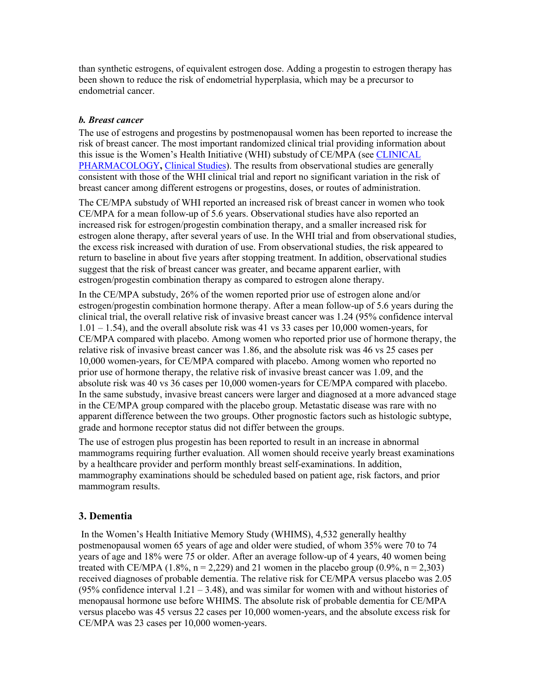than synthetic estrogens, of equivalent estrogen dose. Adding a progestin to estrogen therapy has been shown to reduce the risk of endometrial hyperplasia, which may be a precursor to endometrial cancer.

#### *b. Breast cancer*

The use of estrogens and progestins by postmenopausal women has been reported to increase the risk of breast cancer. The most important randomized clinical trial providing information about this issue is the Women's Health Initiative (WHI) substudy of CE/MPA (see [CLINICAL](#page-1-0)  [PHARMACOLOGY](#page-1-0)**,** [Clinical Studies](#page-2-0)). The results from observational studies are generally consistent with those of the WHI clinical trial and report no significant variation in the risk of breast cancer among different estrogens or progestins, doses, or routes of administration.

The CE/MPA substudy of WHI reported an increased risk of breast cancer in women who took CE/MPA for a mean follow-up of 5.6 years. Observational studies have also reported an increased risk for estrogen/progestin combination therapy, and a smaller increased risk for estrogen alone therapy, after several years of use. In the WHI trial and from observational studies, the excess risk increased with duration of use. From observational studies, the risk appeared to return to baseline in about five years after stopping treatment. In addition, observational studies suggest that the risk of breast cancer was greater, and became apparent earlier, with estrogen/progestin combination therapy as compared to estrogen alone therapy.

In the CE/MPA substudy, 26% of the women reported prior use of estrogen alone and/or estrogen/progestin combination hormone therapy. After a mean follow-up of 5.6 years during the clinical trial, the overall relative risk of invasive breast cancer was 1.24 (95% confidence interval  $1.01 - 1.54$ ), and the overall absolute risk was 41 vs 33 cases per 10,000 women-years, for CE/MPA compared with placebo. Among women who reported prior use of hormone therapy, the relative risk of invasive breast cancer was 1.86, and the absolute risk was 46 vs 25 cases per 10,000 women-years, for CE/MPA compared with placebo. Among women who reported no prior use of hormone therapy, the relative risk of invasive breast cancer was 1.09, and the absolute risk was 40 vs 36 cases per 10,000 women-years for CE/MPA compared with placebo. In the same substudy, invasive breast cancers were larger and diagnosed at a more advanced stage in the CE/MPA group compared with the placebo group. Metastatic disease was rare with no apparent difference between the two groups. Other prognostic factors such as histologic subtype, grade and hormone receptor status did not differ between the groups.

The use of estrogen plus progestin has been reported to result in an increase in abnormal mammograms requiring further evaluation. All women should receive yearly breast examinations by a healthcare provider and perform monthly breast self-examinations. In addition, mammography examinations should be scheduled based on patient age, risk factors, and prior mammogram results.

### <span id="page-6-0"></span>**3. Dementia**

In the Women's Health Initiative Memory Study (WHIMS), 4,532 generally healthy postmenopausal women 65 years of age and older were studied, of whom 35% were 70 to 74 years of age and 18% were 75 or older. After an average follow-up of 4 years, 40 women being treated with CE/MPA (1.8%,  $n = 2,229$ ) and 21 women in the placebo group (0.9%,  $n = 2,303$ ) received diagnoses of probable dementia. The relative risk for CE/MPA versus placebo was 2.05 (95% confidence interval  $1.21 - 3.48$ ), and was similar for women with and without histories of menopausal hormone use before WHIMS. The absolute risk of probable dementia for CE/MPA versus placebo was 45 versus 22 cases per 10,000 women-years, and the absolute excess risk for CE/MPA was 23 cases per 10,000 women-years.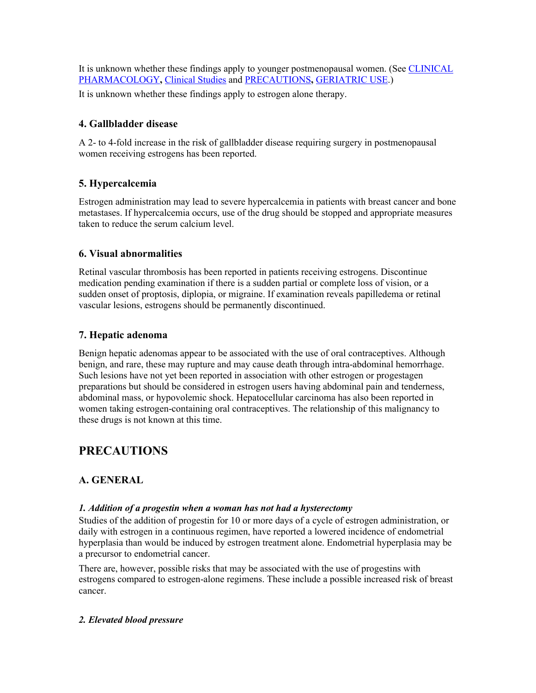It is unknown whether these findings apply to younger postmenopausal women. (See [CLINICAL](#page-1-0)  [PHARMACOLOGY](#page-1-0)**,** [Clinical Studies](#page-2-0) and [PRECAUTIONS](#page-7-0)**,** [GERIATRIC USE](#page-10-0).)

It is unknown whether these findings apply to estrogen alone therapy.

### **4. Gallbladder disease**

A 2- to 4-fold increase in the risk of gallbladder disease requiring surgery in postmenopausal women receiving estrogens has been reported.

### **5. Hypercalcemia**

Estrogen administration may lead to severe hypercalcemia in patients with breast cancer and bone metastases. If hypercalcemia occurs, use of the drug should be stopped and appropriate measures taken to reduce the serum calcium level.

### **6. Visual abnormalities**

Retinal vascular thrombosis has been reported in patients receiving estrogens. Discontinue medication pending examination if there is a sudden partial or complete loss of vision, or a sudden onset of proptosis, diplopia, or migraine. If examination reveals papilledema or retinal vascular lesions, estrogens should be permanently discontinued.

### **7. Hepatic adenoma**

Benign hepatic adenomas appear to be associated with the use of oral contraceptives. Although benign, and rare, these may rupture and may cause death through intra-abdominal hemorrhage. Such lesions have not yet been reported in association with other estrogen or progestagen preparations but should be considered in estrogen users having abdominal pain and tenderness, abdominal mass, or hypovolemic shock. Hepatocellular carcinoma has also been reported in women taking estrogen-containing oral contraceptives. The relationship of this malignancy to these drugs is not known at this time.

## <span id="page-7-0"></span>**PRECAUTIONS**

### **A. GENERAL**

### *1. Addition of a progestin when a woman has not had a hysterectomy*

Studies of the addition of progestin for 10 or more days of a cycle of estrogen administration, or daily with estrogen in a continuous regimen, have reported a lowered incidence of endometrial hyperplasia than would be induced by estrogen treatment alone. Endometrial hyperplasia may be a precursor to endometrial cancer.

There are, however, possible risks that may be associated with the use of progestins with estrogens compared to estrogen-alone regimens. These include a possible increased risk of breast cancer.

#### *2. Elevated blood pressure*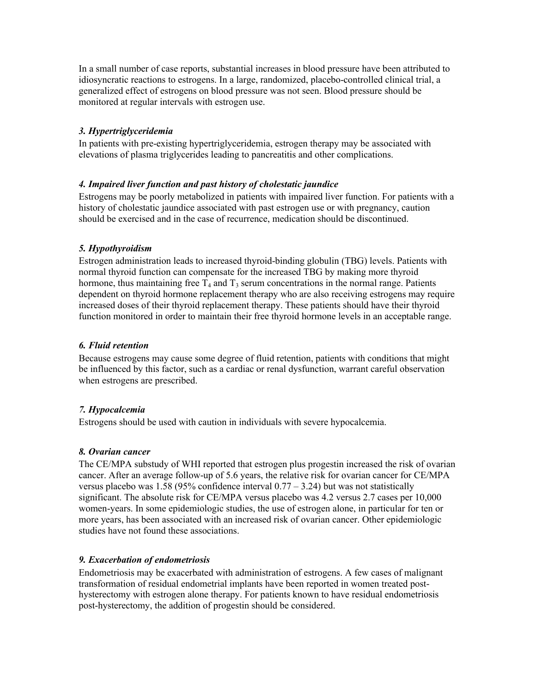In a small number of case reports, substantial increases in blood pressure have been attributed to idiosyncratic reactions to estrogens. In a large, randomized, placebo-controlled clinical trial, a generalized effect of estrogens on blood pressure was not seen. Blood pressure should be monitored at regular intervals with estrogen use.

#### *3. Hypertriglyceridemia*

In patients with pre-existing hypertriglyceridemia, estrogen therapy may be associated with elevations of plasma triglycerides leading to pancreatitis and other complications.

### *4. Impaired liver function and past history of cholestatic jaundice*

Estrogens may be poorly metabolized in patients with impaired liver function. For patients with a history of cholestatic jaundice associated with past estrogen use or with pregnancy, caution should be exercised and in the case of recurrence, medication should be discontinued.

#### *5. Hypothyroidism*

Estrogen administration leads to increased thyroid-binding globulin (TBG) levels. Patients with normal thyroid function can compensate for the increased TBG by making more thyroid hormone, thus maintaining free  $T_4$  and  $T_3$  serum concentrations in the normal range. Patients dependent on thyroid hormone replacement therapy who are also receiving estrogens may require increased doses of their thyroid replacement therapy. These patients should have their thyroid function monitored in order to maintain their free thyroid hormone levels in an acceptable range.

#### *6. Fluid retention*

Because estrogens may cause some degree of fluid retention, patients with conditions that might be influenced by this factor, such as a cardiac or renal dysfunction, warrant careful observation when estrogens are prescribed.

### *7. Hypocalcemia*

Estrogens should be used with caution in individuals with severe hypocalcemia.

#### *8. Ovarian cancer*

The CE/MPA substudy of WHI reported that estrogen plus progestin increased the risk of ovarian cancer. After an average follow-up of 5.6 years, the relative risk for ovarian cancer for CE/MPA versus placebo was 1.58 (95% confidence interval  $0.77 - 3.24$ ) but was not statistically significant. The absolute risk for CE/MPA versus placebo was 4.2 versus 2.7 cases per 10,000 women-years. In some epidemiologic studies, the use of estrogen alone, in particular for ten or more years, has been associated with an increased risk of ovarian cancer. Other epidemiologic studies have not found these associations.

### *9. Exacerbation of endometriosis*

Endometriosis may be exacerbated with administration of estrogens. A few cases of malignant transformation of residual endometrial implants have been reported in women treated posthysterectomy with estrogen alone therapy. For patients known to have residual endometriosis post-hysterectomy, the addition of progestin should be considered.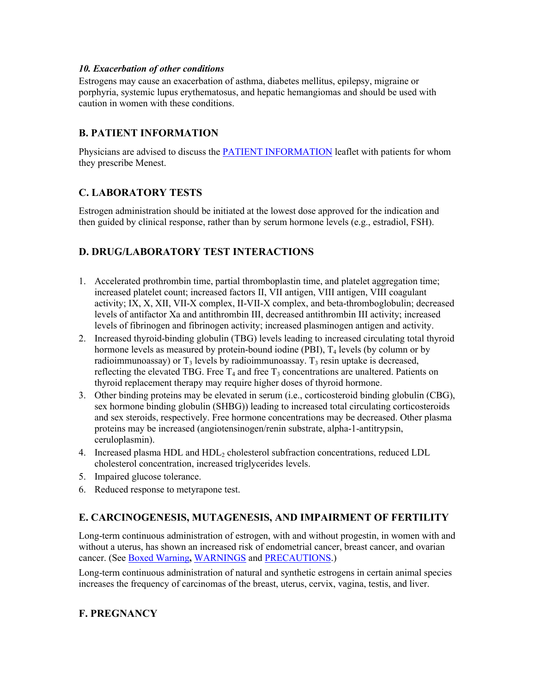#### *10. Exacerbation of other conditions*

Estrogens may cause an exacerbation of asthma, diabetes mellitus, epilepsy, migraine or porphyria, systemic lupus erythematosus, and hepatic hemangiomas and should be used with caution in women with these conditions.

### <span id="page-9-0"></span>**B. PATIENT INFORMATION**

Physicians are advised to discuss the [PATIENT INFORMATION](#page-9-0) leaflet with patients for whom they prescribe Menest.

### **C. LABORATORY TESTS**

Estrogen administration should be initiated at the lowest dose approved for the indication and then guided by clinical response, rather than by serum hormone levels (e.g., estradiol, FSH).

### **D. DRUG/LABORATORY TEST INTERACTIONS**

- 1. Accelerated prothrombin time, partial thromboplastin time, and platelet aggregation time; increased platelet count; increased factors II, VII antigen, VIII antigen, VIII coagulant activity; IX, X, XII, VII-X complex, II-VII-X complex, and beta-thromboglobulin; decreased levels of antifactor Xa and antithrombin III, decreased antithrombin III activity; increased levels of fibrinogen and fibrinogen activity; increased plasminogen antigen and activity.
- 2. Increased thyroid-binding globulin (TBG) levels leading to increased circulating total thyroid hormone levels as measured by protein-bound iodine (PBI),  $T_4$  levels (by column or by radioimmunoassay) or  $T_3$  levels by radioimmunoassay.  $T_3$  resin uptake is decreased, reflecting the elevated TBG. Free  $T_4$  and free  $T_3$  concentrations are unaltered. Patients on thyroid replacement therapy may require higher doses of thyroid hormone.
- 3. Other binding proteins may be elevated in serum (i.e., corticosteroid binding globulin (CBG), sex hormone binding globulin (SHBG)) leading to increased total circulating corticosteroids and sex steroids, respectively. Free hormone concentrations may be decreased. Other plasma proteins may be increased (angiotensinogen/renin substrate, alpha-1-antitrypsin, ceruloplasmin).
- 4. Increased plasma HDL and  $HDL<sub>2</sub>$  cholesterol subfraction concentrations, reduced LDL cholesterol concentration, increased triglycerides levels.
- 5. Impaired glucose tolerance.
- 6. Reduced response to metyrapone test.

### **E. CARCINOGENESIS, MUTAGENESIS, AND IMPAIRMENT OF FERTILITY**

Long-term continuous administration of estrogen, with and without progestin, in women with and without a uterus, has shown an increased risk of endometrial cancer, breast cancer, and ovarian cancer. (See [Boxed Warning](#page-0-0)**,** [WARNINGS](#page-4-0) and [PRECAUTIONS](#page-7-0).)

Long-term continuous administration of natural and synthetic estrogens in certain animal species increases the frequency of carcinomas of the breast, uterus, cervix, vagina, testis, and liver.

### **F. PREGNANCY**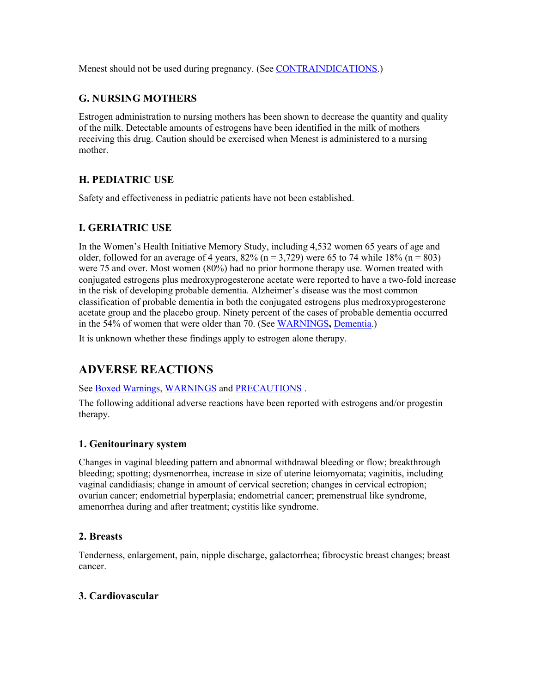Menest should not be used during pregnancy. (See [CONTRAINDICATIONS](#page-4-1).)

### **G. NURSING MOTHERS**

Estrogen administration to nursing mothers has been shown to decrease the quantity and quality of the milk. Detectable amounts of estrogens have been identified in the milk of mothers receiving this drug. Caution should be exercised when Menest is administered to a nursing mother.

### **H. PEDIATRIC USE**

Safety and effectiveness in pediatric patients have not been established.

### <span id="page-10-0"></span>**I. GERIATRIC USE**

In the Women's Health Initiative Memory Study, including 4,532 women 65 years of age and older, followed for an average of 4 years,  $82\%$  (n = 3,729) were 65 to 74 while 18% (n = 803) were 75 and over. Most women (80%) had no prior hormone therapy use. Women treated with conjugated estrogens plus medroxyprogesterone acetate were reported to have a two-fold increase in the risk of developing probable dementia. Alzheimer's disease was the most common classification of probable dementia in both the conjugated estrogens plus medroxyprogesterone acetate group and the placebo group. Ninety percent of the cases of probable dementia occurred in the 54% of women that were older than 70. (See [WARNINGS](#page-4-0)**,** [Dementia](#page-6-0).)

It is unknown whether these findings apply to estrogen alone therapy.

# **ADVERSE REACTIONS**

See [Boxed Warnings,](#page-0-0) [WARNINGS](#page-4-0) and [PRECAUTIONS](#page-7-0) .

The following additional adverse reactions have been reported with estrogens and/or progestin therapy.

### **1. Genitourinary system**

Changes in vaginal bleeding pattern and abnormal withdrawal bleeding or flow; breakthrough bleeding; spotting; dysmenorrhea, increase in size of uterine leiomyomata; vaginitis, including vaginal candidiasis; change in amount of cervical secretion; changes in cervical ectropion; ovarian cancer; endometrial hyperplasia; endometrial cancer; premenstrual like syndrome, amenorrhea during and after treatment; cystitis like syndrome.

### **2. Breasts**

Tenderness, enlargement, pain, nipple discharge, galactorrhea; fibrocystic breast changes; breast cancer.

### **3. Cardiovascular**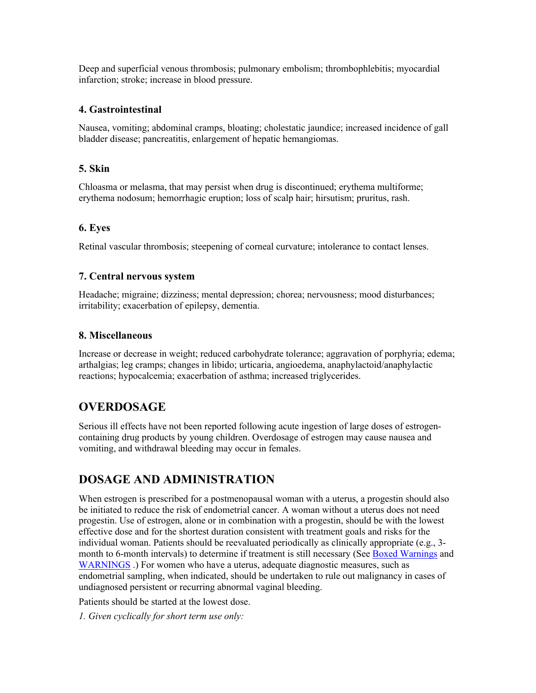Deep and superficial venous thrombosis; pulmonary embolism; thrombophlebitis; myocardial infarction; stroke; increase in blood pressure.

### **4. Gastrointestinal**

Nausea, vomiting; abdominal cramps, bloating; cholestatic jaundice; increased incidence of gall bladder disease; pancreatitis, enlargement of hepatic hemangiomas.

### **5. Skin**

Chloasma or melasma, that may persist when drug is discontinued; erythema multiforme; erythema nodosum; hemorrhagic eruption; loss of scalp hair; hirsutism; pruritus, rash.

### **6. Eyes**

Retinal vascular thrombosis; steepening of corneal curvature; intolerance to contact lenses.

### **7. Central nervous system**

Headache; migraine; dizziness; mental depression; chorea; nervousness; mood disturbances; irritability; exacerbation of epilepsy, dementia.

### **8. Miscellaneous**

Increase or decrease in weight; reduced carbohydrate tolerance; aggravation of porphyria; edema; arthalgias; leg cramps; changes in libido; urticaria, angioedema, anaphylactoid/anaphylactic reactions; hypocalcemia; exacerbation of asthma; increased triglycerides.

## **OVERDOSAGE**

Serious ill effects have not been reported following acute ingestion of large doses of estrogencontaining drug products by young children. Overdosage of estrogen may cause nausea and vomiting, and withdrawal bleeding may occur in females.

## **DOSAGE AND ADMINISTRATION**

When estrogen is prescribed for a postmenopausal woman with a uterus, a progestin should also be initiated to reduce the risk of endometrial cancer. A woman without a uterus does not need progestin. Use of estrogen, alone or in combination with a progestin, should be with the lowest effective dose and for the shortest duration consistent with treatment goals and risks for the individual woman. Patients should be reevaluated periodically as clinically appropriate (e.g., 3 month to 6-month intervals) to determine if treatment is still necessary (See [Boxed Warnings](#page-0-0) and [WARNINGS](#page-4-0) .) For women who have a uterus, adequate diagnostic measures, such as endometrial sampling, when indicated, should be undertaken to rule out malignancy in cases of undiagnosed persistent or recurring abnormal vaginal bleeding.

Patients should be started at the lowest dose.

*1. Given cyclically for short term use only:*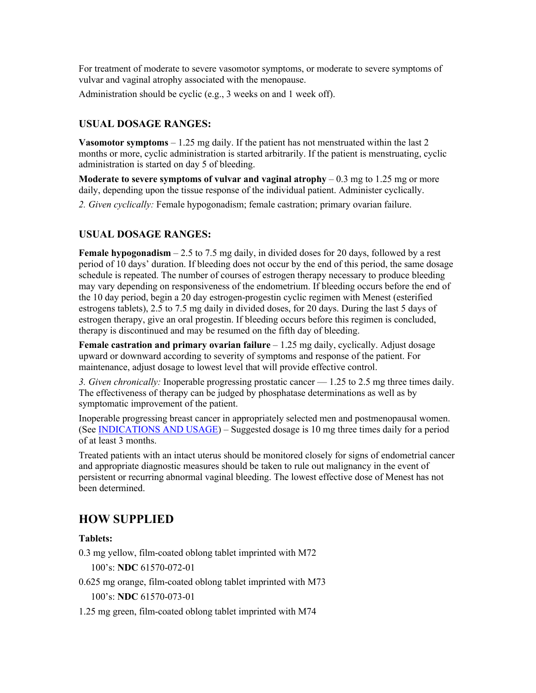For treatment of moderate to severe vasomotor symptoms, or moderate to severe symptoms of vulvar and vaginal atrophy associated with the menopause.

Administration should be cyclic (e.g., 3 weeks on and 1 week off).

### **USUAL DOSAGE RANGES:**

**Vasomotor symptoms** – 1.25 mg daily. If the patient has not menstruated within the last 2 months or more, cyclic administration is started arbitrarily. If the patient is menstruating, cyclic administration is started on day 5 of bleeding.

**Moderate to severe symptoms of vulvar and vaginal atrophy** – 0.3 mg to 1.25 mg or more daily, depending upon the tissue response of the individual patient. Administer cyclically.

*2. Given cyclically:* Female hypogonadism; female castration; primary ovarian failure.

### **USUAL DOSAGE RANGES:**

**Female hypogonadism** – 2.5 to 7.5 mg daily, in divided doses for 20 days, followed by a rest period of 10 days' duration. If bleeding does not occur by the end of this period, the same dosage schedule is repeated. The number of courses of estrogen therapy necessary to produce bleeding may vary depending on responsiveness of the endometrium. If bleeding occurs before the end of the 10 day period, begin a 20 day estrogen-progestin cyclic regimen with Menest (esterified estrogens tablets), 2.5 to 7.5 mg daily in divided doses, for 20 days. During the last 5 days of estrogen therapy, give an oral progestin. If bleeding occurs before this regimen is concluded, therapy is discontinued and may be resumed on the fifth day of bleeding.

**Female castration and primary ovarian failure** – 1.25 mg daily, cyclically. Adjust dosage upward or downward according to severity of symptoms and response of the patient. For maintenance, adjust dosage to lowest level that will provide effective control.

*3. Given chronically:* Inoperable progressing prostatic cancer — 1.25 to 2.5 mg three times daily. The effectiveness of therapy can be judged by phosphatase determinations as well as by symptomatic improvement of the patient.

Inoperable progressing breast cancer in appropriately selected men and postmenopausal women. (See [INDICATIONS AND USAGE](#page-3-0)) – Suggested dosage is 10 mg three times daily for a period of at least 3 months.

Treated patients with an intact uterus should be monitored closely for signs of endometrial cancer and appropriate diagnostic measures should be taken to rule out malignancy in the event of persistent or recurring abnormal vaginal bleeding. The lowest effective dose of Menest has not been determined.

# **HOW SUPPLIED**

### **Tablets:**

0.3 mg yellow, film-coated oblong tablet imprinted with M72

100's: **NDC** 61570-072-01

0.625 mg orange, film-coated oblong tablet imprinted with M73 100's: **NDC** 61570-073-01

1.25 mg green, film-coated oblong tablet imprinted with M74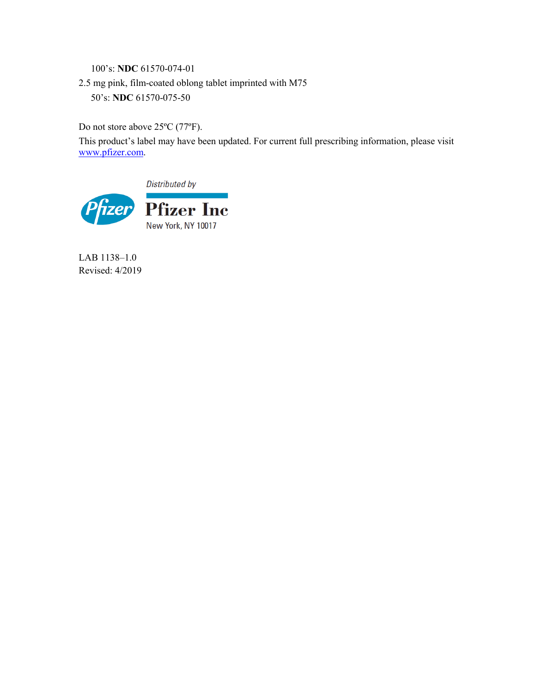100's: **NDC** 61570-074-01

2.5 mg pink, film-coated oblong tablet imprinted with M75

50's: **NDC** 61570-075-50

Do not store above 25ºC (77ºF).

This product's label may have been updated. For current full prescribing information, please visit [www.pfizer.com.](http://www.pfizer.com/)



LAB 1138–1.0 Revised: 4/2019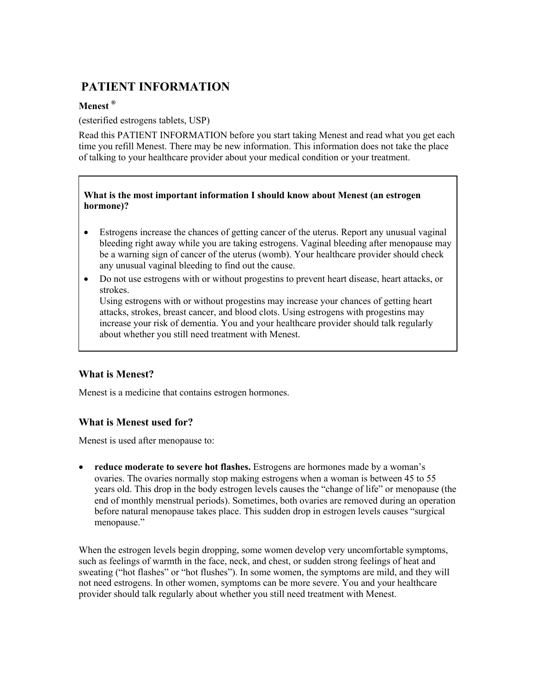# **PATIENT INFORMATION**

### **Menest ®**

(esterified estrogens tablets, USP)

Read this PATIENT INFORMATION before you start taking Menest and read what you get each time you refill Menest. There may be new information. This information does not take the place of talking to your healthcare provider about your medical condition or your treatment.

#### **What is the most important information I should know about Menest (an estrogen hormone)?**

- Estrogens increase the chances of getting cancer of the uterus. Report any unusual vaginal bleeding right away while you are taking estrogens. Vaginal bleeding after menopause may be a warning sign of cancer of the uterus (womb). Your healthcare provider should check any unusual vaginal bleeding to find out the cause.
- Do not use estrogens with or without progestins to prevent heart disease, heart attacks, or strokes.

Using estrogens with or without progestins may increase your chances of getting heart attacks, strokes, breast cancer, and blood clots. Using estrogens with progestins may increase your risk of dementia. You and your healthcare provider should talk regularly about whether you still need treatment with Menest.

### **What is Menest?**

Menest is a medicine that contains estrogen hormones.

### **What is Menest used for?**

Menest is used after menopause to:

 **reduce moderate to severe hot flashes.** Estrogens are hormones made by a woman's ovaries. The ovaries normally stop making estrogens when a woman is between 45 to 55 years old. This drop in the body estrogen levels causes the "change of life" or menopause (the end of monthly menstrual periods). Sometimes, both ovaries are removed during an operation before natural menopause takes place. This sudden drop in estrogen levels causes "surgical menopause."

When the estrogen levels begin dropping, some women develop very uncomfortable symptoms, such as feelings of warmth in the face, neck, and chest, or sudden strong feelings of heat and sweating ("hot flashes" or "hot flushes"). In some women, the symptoms are mild, and they will not need estrogens. In other women, symptoms can be more severe. You and your healthcare provider should talk regularly about whether you still need treatment with Menest.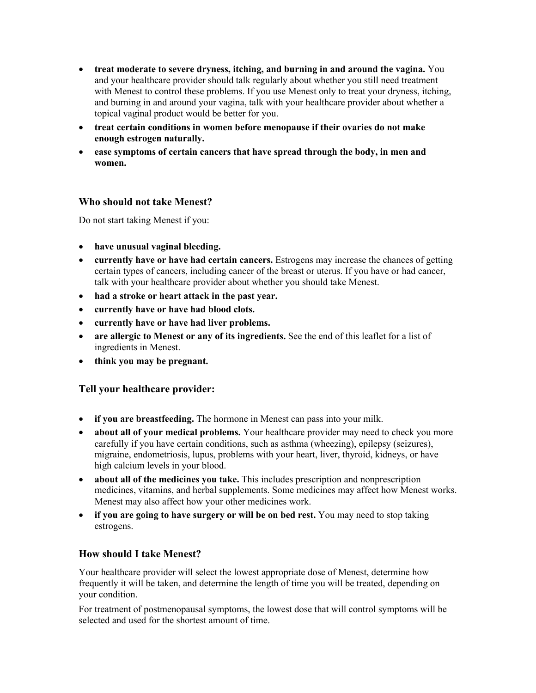- **treat moderate to severe dryness, itching, and burning in and around the vagina.** You and your healthcare provider should talk regularly about whether you still need treatment with Menest to control these problems. If you use Menest only to treat your dryness, itching, and burning in and around your vagina, talk with your healthcare provider about whether a topical vaginal product would be better for you.
- **treat certain conditions in women before menopause if their ovaries do not make enough estrogen naturally.**
- **ease symptoms of certain cancers that have spread through the body, in men and women.**

### **Who should not take Menest?**

Do not start taking Menest if you:

- **have unusual vaginal bleeding.**
- **currently have or have had certain cancers.** Estrogens may increase the chances of getting certain types of cancers, including cancer of the breast or uterus. If you have or had cancer, talk with your healthcare provider about whether you should take Menest.
- **had a stroke or heart attack in the past year.**
- **currently have or have had blood clots.**
- **currently have or have had liver problems.**
- are allergic to Menest or any of its ingredients. See the end of this leaflet for a list of ingredients in Menest.
- **think you may be pregnant.**

### **Tell your healthcare provider:**

- **if you are breastfeeding.** The hormone in Menest can pass into your milk.
- **about all of your medical problems.** Your healthcare provider may need to check you more carefully if you have certain conditions, such as asthma (wheezing), epilepsy (seizures), migraine, endometriosis, lupus, problems with your heart, liver, thyroid, kidneys, or have high calcium levels in your blood.
- **about all of the medicines you take.** This includes prescription and nonprescription medicines, vitamins, and herbal supplements. Some medicines may affect how Menest works. Menest may also affect how your other medicines work.
- **if you are going to have surgery or will be on bed rest.** You may need to stop taking estrogens.

### **How should I take Menest?**

Your healthcare provider will select the lowest appropriate dose of Menest, determine how frequently it will be taken, and determine the length of time you will be treated, depending on your condition.

For treatment of postmenopausal symptoms, the lowest dose that will control symptoms will be selected and used for the shortest amount of time.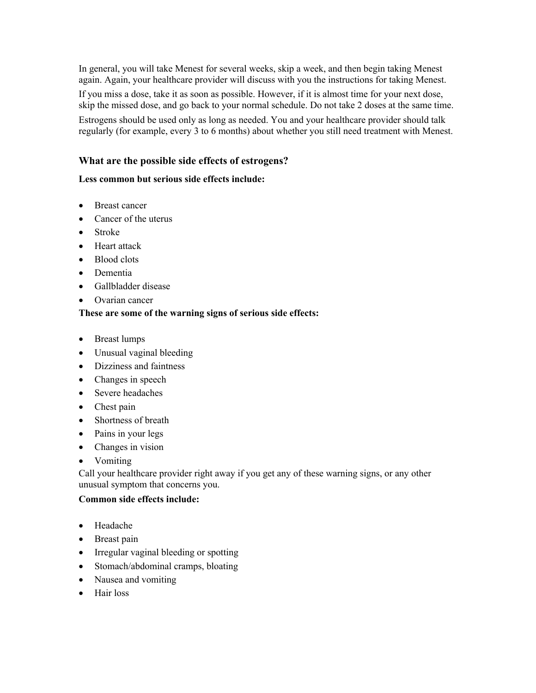In general, you will take Menest for several weeks, skip a week, and then begin taking Menest again. Again, your healthcare provider will discuss with you the instructions for taking Menest.

If you miss a dose, take it as soon as possible. However, if it is almost time for your next dose, skip the missed dose, and go back to your normal schedule. Do not take 2 doses at the same time.

Estrogens should be used only as long as needed. You and your healthcare provider should talk regularly (for example, every 3 to 6 months) about whether you still need treatment with Menest.

### **What are the possible side effects of estrogens?**

#### **Less common but serious side effects include:**

- Breast cancer
- Cancer of the uterus
- Stroke
- Heart attack
- Blood clots
- Dementia
- Gallbladder disease
- Ovarian cancer

#### **These are some of the warning signs of serious side effects:**

- Breast lumps
- Unusual vaginal bleeding
- Dizziness and faintness
- Changes in speech
- Severe headaches
- Chest pain
- Shortness of breath
- Pains in your legs
- Changes in vision
- Vomiting

Call your healthcare provider right away if you get any of these warning signs, or any other unusual symptom that concerns you.

#### **Common side effects include:**

- Headache
- Breast pain
- Irregular vaginal bleeding or spotting
- Stomach/abdominal cramps, bloating
- Nausea and vomiting
- Hair loss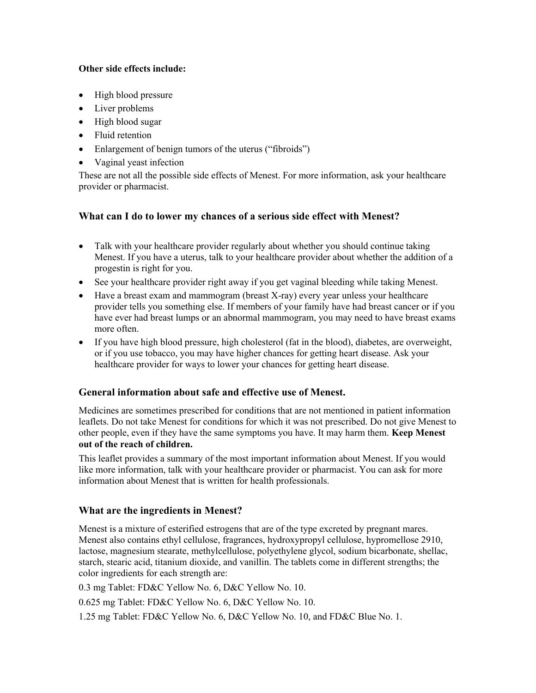#### **Other side effects include:**

- High blood pressure
- Liver problems
- High blood sugar
- Fluid retention
- Enlargement of benign tumors of the uterus ("fibroids")
- Vaginal yeast infection

These are not all the possible side effects of Menest. For more information, ask your healthcare provider or pharmacist.

### **What can I do to lower my chances of a serious side effect with Menest?**

- Talk with your healthcare provider regularly about whether you should continue taking Menest. If you have a uterus, talk to your healthcare provider about whether the addition of a progestin is right for you.
- See your healthcare provider right away if you get vaginal bleeding while taking Menest.
- Have a breast exam and mammogram (breast X-ray) every year unless your healthcare provider tells you something else. If members of your family have had breast cancer or if you have ever had breast lumps or an abnormal mammogram, you may need to have breast exams more often.
- If you have high blood pressure, high cholesterol (fat in the blood), diabetes, are overweight, or if you use tobacco, you may have higher chances for getting heart disease. Ask your healthcare provider for ways to lower your chances for getting heart disease.

### **General information about safe and effective use of Menest.**

Medicines are sometimes prescribed for conditions that are not mentioned in patient information leaflets. Do not take Menest for conditions for which it was not prescribed. Do not give Menest to other people, even if they have the same symptoms you have. It may harm them. **Keep Menest out of the reach of children.** 

This leaflet provides a summary of the most important information about Menest. If you would like more information, talk with your healthcare provider or pharmacist. You can ask for more information about Menest that is written for health professionals.

### **What are the ingredients in Menest?**

Menest is a mixture of esterified estrogens that are of the type excreted by pregnant mares. Menest also contains ethyl cellulose, fragrances, hydroxypropyl cellulose, hypromellose 2910, lactose, magnesium stearate, methylcellulose, polyethylene glycol, sodium bicarbonate, shellac, starch, stearic acid, titanium dioxide, and vanillin. The tablets come in different strengths; the color ingredients for each strength are:

0.3 mg Tablet: FD&C Yellow No. 6, D&C Yellow No. 10.

0.625 mg Tablet: FD&C Yellow No. 6, D&C Yellow No. 10.

1.25 mg Tablet: FD&C Yellow No. 6, D&C Yellow No. 10, and FD&C Blue No. 1.